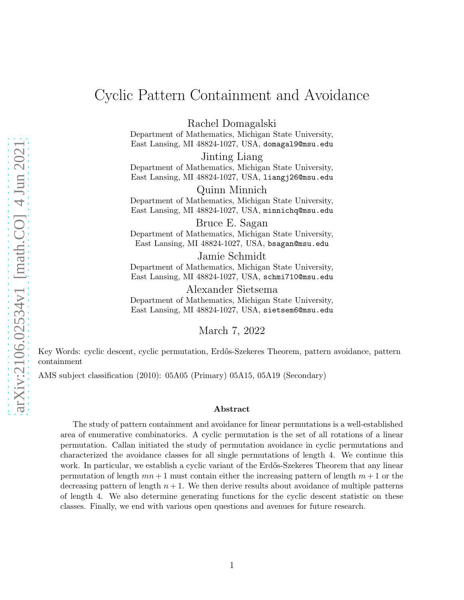# Cyclic Pattern Containment and Avoidance

Rachel Domagalski

Department of Mathematics, Michigan State University, East Lansing, MI 48824-1027, USA, domagal9@msu.edu

Jinting Liang Department of Mathematics, Michigan State University, East Lansing, MI 48824-1027, USA, liangj26@msu.edu

Quinn Minnich Department of Mathematics, Michigan State University, East Lansing, MI 48824-1027, USA, minnichq@msu.edu

Bruce E. Sagan Department of Mathematics, Michigan State University, East Lansing, MI 48824-1027, USA, bsagan@msu.edu

Jamie Schmidt Department of Mathematics, Michigan State University, East Lansing, MI 48824-1027, USA, schmi710@msu.edu

Alexander Sietsema Department of Mathematics, Michigan State University, East Lansing, MI 48824-1027, USA, sietsem6@msu.edu

March 7, 2022

Key Words: cyclic descent, cyclic permutation, Erdős-Szekeres Theorem, pattern avoidance, pattern containment

AMS subject classification (2010): 05A05 (Primary) 05A15, 05A19 (Secondary)

#### Abstract

The study of pattern containment and avoidance for linear permutations is a well-established area of enumerative combinatorics. A cyclic permutation is the set of all rotations of a linear permutation. Callan initiated the study of permutation avoidance in cyclic permutations and characterized the avoidance classes for all single permutations of length 4. We continue this work. In particular, we establish a cyclic variant of the Erdős-Szekeres Theorem that any linear permutation of length  $mn+1$  must contain either the increasing pattern of length  $m+1$  or the decreasing pattern of length  $n + 1$ . We then derive results about avoidance of multiple patterns of length 4. We also determine generating functions for the cyclic descent statistic on these classes. Finally, we end with various open questions and avenues for future research.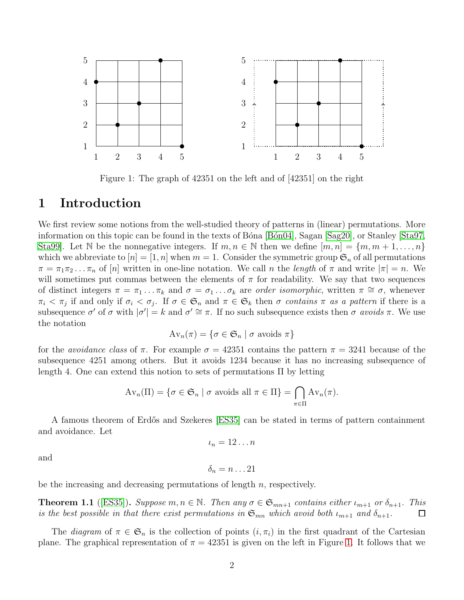

<span id="page-1-0"></span>Figure 1: The graph of 42351 on the left and of [42351] on the right

## 1 Introduction

We first review some notions from the well-studied theory of patterns in (linear) permutations. More information on this topic can be found in the texts of Bóna [Bón04], Sagan [\[Sag20\]](#page-22-0), or Stanley [\[Sta97,](#page-22-1) Sta99. Let N be the nonnegative integers. If  $m, n \in \mathbb{N}$  then we define  $[m, n] = \{m, m + 1, \ldots, n\}$ which we abbreviate to  $[n] = [1, n]$  when  $m = 1$ . Consider the symmetric group  $\mathfrak{S}_n$  of all permutations  $\pi = \pi_1 \pi_2 \dots \pi_n$  of  $[n]$  written in one-line notation. We call n the length of  $\pi$  and write  $|\pi| = n$ . We will sometimes put commas between the elements of  $\pi$  for readability. We say that two sequences of distinct integers  $\pi = \pi_1 \dots \pi_k$  and  $\sigma = \sigma_1 \dots \sigma_k$  are order isomorphic, written  $\pi \cong \sigma$ , whenever  $\pi_i < \pi_j$  if and only if  $\sigma_i < \sigma_j$ . If  $\sigma \in \mathfrak{S}_n$  and  $\pi \in \mathfrak{S}_k$  then  $\sigma$  contains  $\pi$  as a pattern if there is a subsequence  $\sigma'$  of  $\sigma$  with  $|\sigma'| = k$  and  $\sigma' \cong \pi$ . If no such subsequence exists then  $\sigma$  avoids  $\pi$ . We use the notation

$$
Av_n(\pi) = \{ \sigma \in \mathfrak{S}_n \mid \sigma \text{ avoids } \pi \}
$$

for the *avoidance class* of  $\pi$ . For example  $\sigma = 42351$  contains the pattern  $\pi = 3241$  because of the subsequence 4251 among others. But it avoids 1234 because it has no increasing subsequence of length 4. One can extend this notion to sets of permutations Π by letting

$$
Av_n(\Pi) = \{ \sigma \in \mathfrak{S}_n \mid \sigma \text{ avoids all } \pi \in \Pi \} = \bigcap_{\pi \in \Pi} Av_n(\pi).
$$

A famous theorem of Erdős and Szekeres [\[ES35\]](#page-22-3) can be stated in terms of pattern containment and avoidance. Let

$$
\iota_n=12\ldots n
$$

and

$$
\delta_n=n\ldots 21
$$

be the increasing and decreasing permutations of length  $n$ , respectively.

<span id="page-1-1"></span>**Theorem 1.1** ([\[ES35\]](#page-22-3)). Suppose  $m, n \in \mathbb{N}$ . Then any  $\sigma \in \mathfrak{S}_{mn+1}$  contains either  $\iota_{m+1}$  or  $\delta_{n+1}$ . This is the best possible in that there exist permutations in  $\mathfrak{S}_{mn}$  which avoid both  $\iota_{m+1}$  and  $\delta_{n+1}$ .  $\Box$ 

The *diagram* of  $\pi \in \mathfrak{S}_n$  is the collection of points  $(i, \pi_i)$  in the first quadrant of the Cartesian plane. The graphical representation of  $\pi = 42351$  is given on the left in Figure [1.](#page-1-0) It follows that we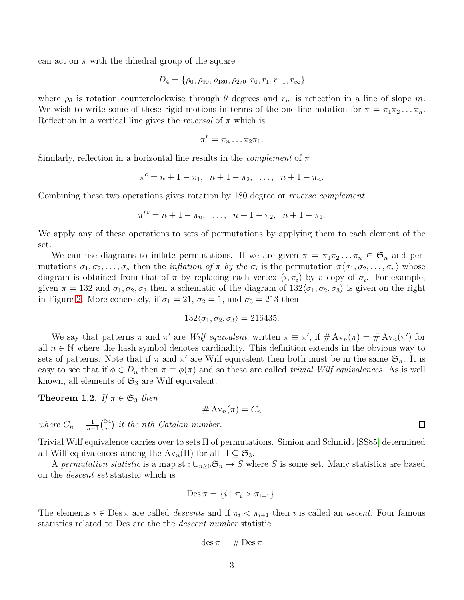can act on  $\pi$  with the dihedral group of the square

$$
D_4 = \{\rho_0, \rho_{90}, \rho_{180}, \rho_{270}, r_0, r_1, r_{-1}, r_{\infty}\}\
$$

where  $\rho_{\theta}$  is rotation counterclockwise through  $\theta$  degrees and  $r_m$  is reflection in a line of slope m. We wish to write some of these rigid motions in terms of the one-line notation for  $\pi = \pi_1 \pi_2 \dots \pi_n$ . Reflection in a vertical line gives the *reversal* of  $\pi$  which is

$$
\pi^r = \pi_n \dots \pi_2 \pi_1.
$$

Similarly, reflection in a horizontal line results in the *complement* of  $\pi$ 

$$
\pi^c = n + 1 - \pi_1, \ \ n + 1 - \pi_2, \ \ \ldots, \ \ n + 1 - \pi_n.
$$

Combining these two operations gives rotation by 180 degree or *reverse complement* 

$$
\pi^{rc} = n + 1 - \pi_n, \ \ldots, \ \ n + 1 - \pi_2, \ \ n + 1 - \pi_1.
$$

We apply any of these operations to sets of permutations by applying them to each element of the set.

We can use diagrams to inflate permutations. If we are given  $\pi = \pi_1 \pi_2 \dots \pi_n \in \mathfrak{S}_n$  and permutations  $\sigma_1, \sigma_2, \ldots, \sigma_n$  then the *inflation of*  $\pi$  *by the*  $\sigma_i$  is the permutation  $\pi \langle \sigma_1, \sigma_2, \ldots, \sigma_n \rangle$  whose diagram is obtained from that of  $\pi$  by replacing each vertex  $(i, \pi_i)$  by a copy of  $\sigma_i$ . For example, given  $\pi = 132$  and  $\sigma_1, \sigma_2, \sigma_3$  then a schematic of the diagram of  $132\langle \sigma_1, \sigma_2, \sigma_3 \rangle$  is given on the right in Figure [2.](#page-3-0) More concretely, if  $\sigma_1 = 21$ ,  $\sigma_2 = 1$ , and  $\sigma_3 = 213$  then

$$
132\langle \sigma_1, \sigma_2, \sigma_3 \rangle = 216435.
$$

We say that patterns  $\pi$  and  $\pi'$  are *Wilf equivalent*, written  $\pi \equiv \pi'$ , if  $\# Av_n(\pi) = \# Av_n(\pi')$  for all  $n \in \mathbb{N}$  where the hash symbol denotes cardinality. This definition extends in the obvious way to sets of patterns. Note that if  $\pi$  and  $\pi'$  are Wilf equivalent then both must be in the same  $\mathfrak{S}_n$ . It is easy to see that if  $\phi \in D_n$  then  $\pi \equiv \phi(\pi)$  and so these are called *trivial Wilf equivalences*. As is well known, all elements of  $\mathfrak{S}_3$  are Wilf equivalent.

**Theorem 1.2.** If  $\pi \in \mathfrak{S}_3$  then

$$
\#\operatorname{Av}_n(\pi) = C_n
$$

where  $C_n = \frac{1}{n+1} {2n \choose n}$  $\binom{2n}{n}$  it the nth Catalan number.

Trivial Wilf equivalence carries over to sets Π of permutations. Simion and Schmidt [\[SS85\]](#page-22-4) determined all Wilf equivalences among the  $Av_n(\Pi)$  for all  $\Pi \subseteq \mathfrak{S}_3$ .

A permutation statistic is a map st :  $\biguplus_{n\geq 0} \mathfrak{S}_n \to S$  where S is some set. Many statistics are based on the descent set statistic which is

$$
\operatorname{Des}\pi=\{i\mid \pi_i>\pi_{i+1}\}.
$$

The elements  $i \in \text{Des } \pi$  are called *descents* and if  $\pi_i < \pi_{i+1}$  then i is called an *ascent*. Four famous statistics related to Des are the the descent number statistic

$$
\mathrm{des}\,\pi=\#\mathrm{Des}\,\pi
$$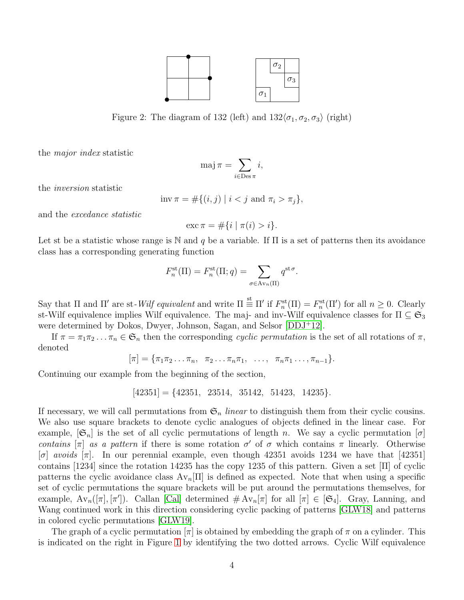

<span id="page-3-0"></span>Figure 2: The diagram of 132 (left) and  $132\langle\sigma_1, \sigma_2, \sigma_3\rangle$  (right)

the major index statistic

$$
\mathrm{maj}\,\pi = \sum_{i \in \mathrm{Des}\,\pi} i,
$$

the inversion statistic

$$
\text{inv}\,\pi = \#\{(i,j) \mid i < j \text{ and } \pi_i > \pi_j\},
$$

and the excedance statistic

$$
\csc \pi = \# \{ i \mid \pi(i) > i \}.
$$

Let st be a statistic whose range is N and q be a variable. If  $\Pi$  is a set of patterns then its avoidance class has a corresponding generating function

$$
F_n^{\rm st}(\Pi) = F_n^{\rm st}(\Pi; q) = \sum_{\sigma \in \text{Av}_n(\Pi)} q^{\text{st}\,\sigma}.
$$

Say that  $\Pi$  and  $\Pi'$  are st-Wilf equivalent and write  $\Pi \equiv \Pi'$  if  $F_n^{\rm st}(\Pi) = F_n^{\rm st}(\Pi')$  for all  $n \geq 0$ . Clearly st-Wilf equivalence implies Wilf equivalence. The maj- and inv-Wilf equivalence classes for  $\Pi \subseteq \mathfrak{S}_3$ were determined by Dokos, Dwyer, Johnson, Sagan, and Selsor [\[DDJ](#page-21-1)+12].

If  $\pi = \pi_1 \pi_2 \dots \pi_n \in \mathfrak{S}_n$  then the corresponding cyclic permutation is the set of all rotations of  $\pi$ , denoted

 $[\pi] = {\pi_1 \pi_2 \dots \pi_n, \pi_2 \dots \pi_n \pi_1, \dots, \pi_n \pi_1 \dots, \pi_{n-1}}.$ 

Continuing our example from the beginning of the section,

 $[42351] = \{42351, 23514, 35142, 51423, 14235\}.$ 

If necessary, we will call permutations from  $\mathfrak{S}_n$  linear to distinguish them from their cyclic cousins. We also use square brackets to denote cyclic analogues of objects defined in the linear case. For example,  $[\mathfrak{S}_n]$  is the set of all cyclic permutations of length n. We say a cyclic permutation  $[\sigma]$ contains  $[\pi]$  as a pattern if there is some rotation  $\sigma'$  of  $\sigma$  which contains  $\pi$  linearly. Otherwise  $\sigma$  avoids  $\pi$ . In our perennial example, even though 42351 avoids 1234 we have that [42351] contains [1234] since the rotation 14235 has the copy 1235 of this pattern. Given a set [Π] of cyclic patterns the cyclic avoidance class  $Av_n[\Pi]$  is defined as expected. Note that when using a specific set of cyclic permutations the square brackets will be put around the permutations themselves, for example,  $Av_n([\pi], [\pi'])$ . Callan [\[Cal\]](#page-21-2) determined  $\# Av_n[\pi]$  for all  $[\pi] \in [\mathfrak{S}_4]$ . Gray, Lanning, and Wang continued work in this direction considering cyclic packing of patterns [\[GLW18\]](#page-22-5) and patterns in colored cyclic permutations [\[GLW19\]](#page-22-6).

The graph of a cyclic permutation  $[\pi]$  is obtained by embedding the graph of  $\pi$  on a cylinder. This is indicated on the right in Figure [1](#page-1-0) by identifying the two dotted arrows. Cyclic Wilf equivalence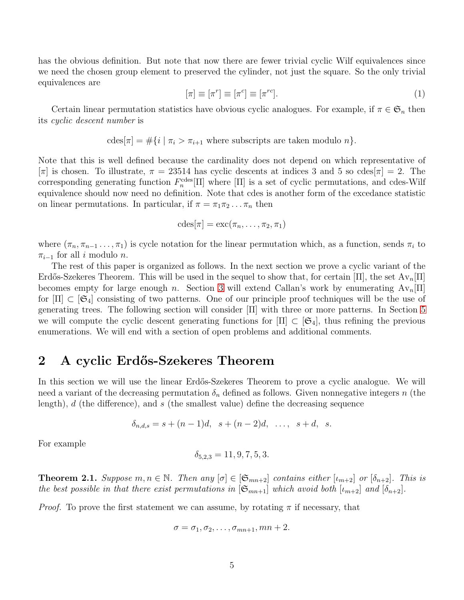has the obvious definition. But note that now there are fewer trivial cyclic Wilf equivalences since we need the chosen group element to preserved the cylinder, not just the square. So the only trivial equivalences are

$$
[\pi] \equiv [\pi^r] \equiv [\pi^c] \equiv [\pi^{rc}]. \tag{1}
$$

Certain linear permutation statistics have obvious cyclic analogues. For example, if  $\pi \in \mathfrak{S}_n$  then its cyclic descent number is

$$
\mathrm{cdes}[\pi] = \#\{i \mid \pi_i > \pi_{i+1} \text{ where subscripts are taken modulo } n\}.
$$

Note that this is well defined because the cardinality does not depend on which representative of  $[\pi]$  is chosen. To illustrate,  $\pi = 23514$  has cyclic descents at indices 3 and 5 so cdes $[\pi] = 2$ . The corresponding generating function  $F_n^{\text{cdes}}[\Pi]$  where  $[\Pi]$  is a set of cyclic permutations, and cdes-Wilf equivalence should now need no definition. Note that cdes is another form of the excedance statistic on linear permutations. In particular, if  $\pi = \pi_1 \pi_2 \dots \pi_n$  then

$$
\mathrm{cdes}[\pi]=\mathrm{exc}(\pi_n,\ldots,\pi_2,\pi_1)
$$

where  $(\pi_n, \pi_{n-1}, \ldots, \pi_1)$  is cycle notation for the linear permutation which, as a function, sends  $\pi_i$  to  $\pi_{i-1}$  for all i modulo n.

The rest of this paper is organized as follows. In the next section we prove a cyclic variant of the Erdős-Szekeres Theorem. This will be used in the sequel to show that, for certain  $\Pi$ , the set  $Av_n[\Pi]$ becomes empty for large enough n. Section [3](#page-6-0) will extend Callan's work by enumerating  $Av_n[\Pi]$ for  $[\Pi] \subset [\mathfrak{S}_4]$  consisting of two patterns. One of our principle proof techniques will be the use of generating trees. The following section will consider [Π] with three or more patterns. In Section [5](#page-13-0) we will compute the cyclic descent generating functions for  $\Pi \subset \mathfrak{S}_4$ , thus refining the previous enumerations. We will end with a section of open problems and additional comments.

## 2 A cyclic Erdős-Szekeres Theorem

In this section we will use the linear Erdős-Szekeres Theorem to prove a cyclic analogue. We will need a variant of the decreasing permutation  $\delta_n$  defined as follows. Given nonnegative integers n (the length),  $d$  (the difference), and  $s$  (the smallest value) define the decreasing sequence

$$
\delta_{n,d,s} = s + (n-1)d, \ \ s + (n-2)d, \ \ \ldots, \ \ s + d, \ \ s.
$$

For example

$$
\delta_{5,2,3} = 11, 9, 7, 5, 3.
$$

<span id="page-4-0"></span>**Theorem 2.1.** Suppose  $m, n \in \mathbb{N}$ . Then any  $[\sigma] \in [\mathfrak{S}_{mn+2}]$  contains either  $[\iota_{m+2}]$  or  $[\delta_{n+2}]$ . This is the best possible in that there exist permutations in  $[\mathfrak{S}_{mn+1}]$  which avoid both  $[\iota_{m+2}]$  and  $[\delta_{n+2}]$ .

*Proof.* To prove the first statement we can assume, by rotating  $\pi$  if necessary, that

$$
\sigma = \sigma_1, \sigma_2, \ldots, \sigma_{mn+1}, mn+2.
$$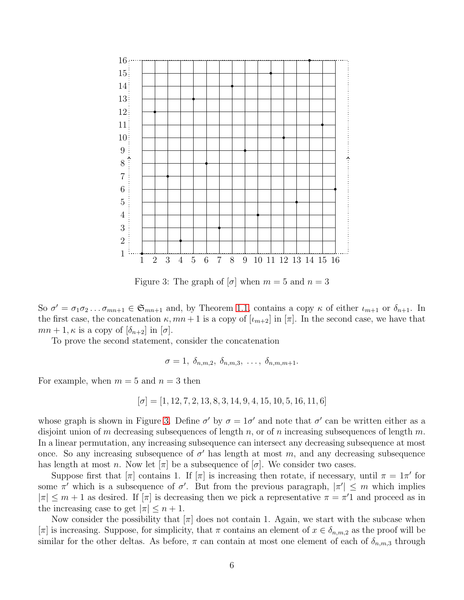

<span id="page-5-0"></span>Figure 3: The graph of  $[\sigma]$  when  $m = 5$  and  $n = 3$ 

So  $\sigma' = \sigma_1 \sigma_2 \dots \sigma_{mn+1} \in \mathfrak{S}_{mn+1}$  and, by Theorem [1.1,](#page-1-1) contains a copy  $\kappa$  of either  $\iota_{m+1}$  or  $\delta_{n+1}$ . In the first case, the concatenation  $\kappa$ ,  $mn+1$  is a copy of  $[\iota_{m+2}]$  in  $[\pi]$ . In the second case, we have that  $mn + 1$ ,  $\kappa$  is a copy of  $[\delta_{n+2}]$  in  $[\sigma]$ .

To prove the second statement, consider the concatenation

$$
\sigma = 1, \ \delta_{n,m,2}, \ \delta_{n,m,3}, \ \ldots, \ \delta_{n,m,m+1}.
$$

For example, when  $m = 5$  and  $n = 3$  then

$$
[\sigma]=[1, 12, 7, 2, 13, 8, 3, 14, 9, 4, 15, 10, 5, 16, 11, 6]
$$

whose graph is shown in Figure [3.](#page-5-0) Define  $\sigma'$  by  $\sigma = 1\sigma'$  and note that  $\sigma'$  can be written either as a disjoint union of m decreasing subsequences of length n, or of n increasing subsequences of length m. In a linear permutation, any increasing subsequence can intersect any decreasing subsequence at most once. So any increasing subsequence of  $\sigma'$  has length at most m, and any decreasing subsequence has length at most n. Now let  $[\pi]$  be a subsequence of  $[\sigma]$ . We consider two cases.

Suppose first that  $[\pi]$  contains 1. If  $[\pi]$  is increasing then rotate, if necessary, until  $\pi = 1\pi'$  for some  $\pi'$  which is a subsequence of  $\sigma'$ . But from the previous paragraph,  $|\pi'| \leq m$  which implies  $|\pi| \leq m+1$  as desired. If  $[\pi]$  is decreasing then we pick a representative  $\pi = \pi'1$  and proceed as in the increasing case to get  $|\pi| \leq n+1$ .

Now consider the possibility that  $[\pi]$  does not contain 1. Again, we start with the subcase when  $[\pi]$  is increasing. Suppose, for simplicity, that  $\pi$  contains an element of  $x \in \delta_{n,m,2}$  as the proof will be similar for the other deltas. As before,  $\pi$  can contain at most one element of each of  $\delta_{n,m,3}$  through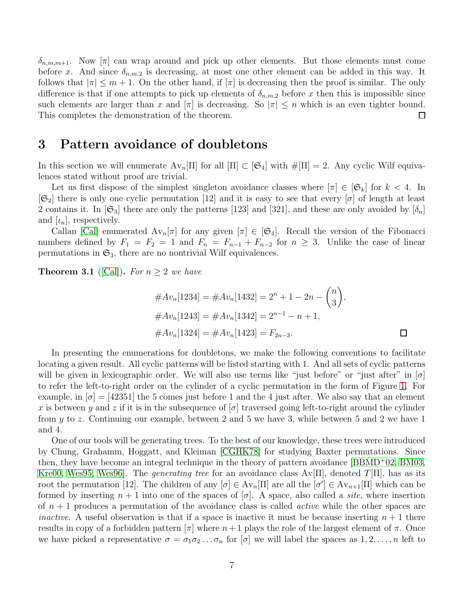$\delta_{n,m,m+1}$ . Now  $[\pi]$  can wrap around and pick up other elements. But those elements must come before x. And since  $\delta_{n,m,2}$  is decreasing, at most one other element can be added in this way. It follows that  $|\pi| \leq m+1$ . On the other hand, if  $|\pi|$  is decreasing then the proof is similar. The only difference is that if one attempts to pick up elements of  $\delta_{n,m,2}$  before x then this is impossible since such elements are larger than x and  $|\pi|$  is decreasing. So  $|\pi| \leq n$  which is an even tighter bound. This completes the demonstration of the theorem.  $\Box$ 

## <span id="page-6-0"></span>3 Pattern avoidance of doubletons

In this section we will enumerate  $Av_n[\Pi]$  for all  $[\Pi] \subset [\mathfrak{S}_4]$  with  $\#[\Pi] = 2$ . Any cyclic Wilf equivalences stated without proof are trivial.

Let us first dispose of the simplest singleton avoidance classes where  $[\pi] \in [\mathfrak{S}_k]$  for  $k < 4$ . In  $[\mathfrak{S}_2]$  there is only one cyclic permutation [12] and it is easy to see that every  $[\sigma]$  of length at least 2 contains it. In  $[\mathfrak{S}_3]$  there are only the patterns [123] and [321], and these are only avoided by  $[\delta_n]$ and  $[\iota_n]$ , respectively.

Callan [\[Cal\]](#page-21-2) enumerated  $Av_n[\pi]$  for any given  $[\pi] \in [\mathfrak{S}_4]$ . Recall the version of the Fibonacci numbers defined by  $F_1 = F_2 = 1$  and  $F_n = F_{n-1} + F_{n-2}$  for  $n \geq 3$ . Unlike the case of linear permutations in  $\mathfrak{S}_3$ , there are no nontrivial Wilf equivalences.

**Theorem 3.1** ([\[Cal\]](#page-21-2)). For  $n \geq 2$  we have

$$
#Av_n[1234] = #Av_n[1432] = 2^n + 1 - 2n - {n \choose 3},
$$
  

$$
#Av_n[1243] = #Av_n[1342] = 2^{n-1} - n + 1,
$$
  

$$
#Av_n[1324] = #Av_n[1423] = F_{2n-3}.
$$

In presenting the enumerations for doubletons, we make the following conventions to facilitate locating a given result. All cyclic patterns will be listed starting with 1. And all sets of cyclic patterns will be given in lexicographic order. We will also use terms like "just before" or "just after" in  $[\sigma]$ to refer the left-to-right order on the cylinder of a cyclic permutation in the form of Figure [1.](#page-1-0) For example, in  $\sigma$  = [42351] the 5 comes just before 1 and the 4 just after. We also say that an element x is between y and z if it is in the subsequence of  $[\sigma]$  traversed going left-to-right around the cylinder from y to z. Continuing our example, between 2 and 5 we have 3, while between 5 and 2 we have 1 and 4.

One of our tools will be generating trees. To the best of our knowledge, these trees were introduced by Chung, Grahamm, Hoggatt, and Kleiman [\[CGHK78\]](#page-21-3) for studying Baxter permutations. Since then, they have become an integral technique in the theory of pattern avoidance [\[BBMD](#page-21-4)<sup>+</sup>02, [BM03,](#page-21-5) [Kre00,](#page-22-7) [Wes95,](#page-22-8) Wes96. The *generating tree* for an avoidance class  $Av[\Pi]$ , denoted  $T[\Pi]$ , has as its root the permutation [12]. The children of any  $[\sigma] \in Av_n[\Pi]$  are all the  $[\sigma'] \in Av_{n+1}[\Pi]$  which can be formed by inserting  $n + 1$  into one of the spaces of  $[\sigma]$ . A space, also called a *site*, where insertion of  $n + 1$  produces a permutation of the avoidance class is called *active* while the other spaces are *inactive.* A useful observation is that if a space is inactive it must be because inserting  $n + 1$  there results in copy of a forbidden pattern  $[\pi]$  where  $n+1$  plays the role of the largest element of  $\pi$ . Once we have picked a representative  $\sigma = \sigma_1 \sigma_2 \ldots \sigma_n$  for  $[\sigma]$  we will label the spaces as  $1, 2, \ldots, n$  left to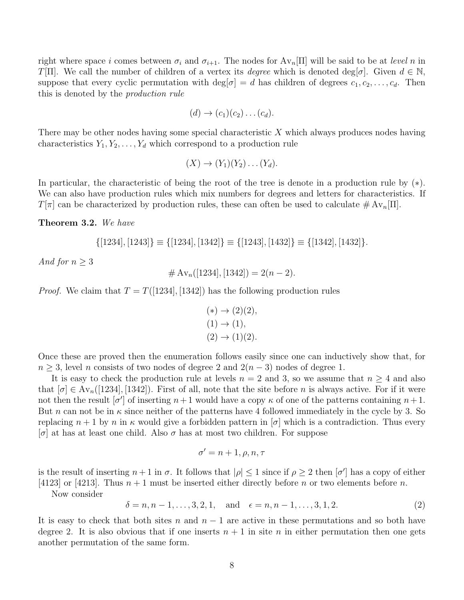right where space i comes between  $\sigma_i$  and  $\sigma_{i+1}$ . The nodes for  $Av_n|\Pi|$  will be said to be at level n in T[Π]. We call the number of children of a vertex its *degree* which is denoted deg[ $\sigma$ ]. Given  $d \in \mathbb{N}$ , suppose that every cyclic permutation with deg[ $\sigma$ ] = d has children of degrees  $c_1, c_2, \ldots, c_d$ . Then this is denoted by the production rule

$$
(d) \rightarrow (c_1)(c_2) \dots (c_d).
$$

There may be other nodes having some special characteristic  $X$  which always produces nodes having characteristics  $Y_1, Y_2, \ldots, Y_d$  which correspond to a production rule

$$
(X) \to (Y_1)(Y_2) \dots (Y_d).
$$

In particular, the characteristic of being the root of the tree is denote in a production rule by (∗). We can also have production rules which mix numbers for degrees and letters for characteristics. If  $T[\pi]$  can be characterized by production rules, these can often be used to calculate  $\#\,\mathrm{Av}_n[\Pi]$ .

<span id="page-7-0"></span>Theorem 3.2. We have

$$
\{[1234], [1243]\} \equiv \{[1234], [1342]\} \equiv \{[1243], [1432]\} \equiv \{[1342], [1432]\}.
$$

And for  $n \geq 3$ 

$$
\#\operatorname{Av}_n([1234],[1342]) = 2(n-2).
$$

*Proof.* We claim that  $T = T([1234], [1342])$  has the following production rules

$$
(*) \to (2)(2), (1) \to (1), (2) \to (1)(2).
$$

Once these are proved then the enumeration follows easily since one can inductively show that, for  $n \geq 3$ , level n consists of two nodes of degree 2 and  $2(n-3)$  nodes of degree 1.

It is easy to check the production rule at levels  $n = 2$  and 3, so we assume that  $n \geq 4$  and also that  $[\sigma] \in Av_n([1234], [1342])$ . First of all, note that the site before n is always active. For if it were not then the result  $[\sigma']$  of inserting  $n+1$  would have a copy  $\kappa$  of one of the patterns containing  $n+1$ . But *n* can not be in  $\kappa$  since neither of the patterns have 4 followed immediately in the cycle by 3. So replacing  $n+1$  by n in  $\kappa$  would give a forbidden pattern in  $[\sigma]$  which is a contradiction. Thus every  $\sigma$  at has at least one child. Also  $\sigma$  has at most two children. For suppose

$$
\sigma' = n + 1, \rho, n, \tau
$$

is the result of inserting  $n+1$  in  $\sigma$ . It follows that  $|\rho| \leq 1$  since if  $\rho \geq 2$  then  $[\sigma']$  has a copy of either [4123] or [4213]. Thus  $n + 1$  must be inserted either directly before n or two elements before n.

Now consider

<span id="page-7-1"></span> $\delta = n, n-1, \ldots, 3, 2, 1, \text{ and } \epsilon = n, n-1, \ldots, 3, 1, 2.$  (2)

It is easy to check that both sites n and  $n-1$  are active in these permutations and so both have degree 2. It is also obvious that if one inserts  $n + 1$  in site n in either permutation then one gets another permutation of the same form.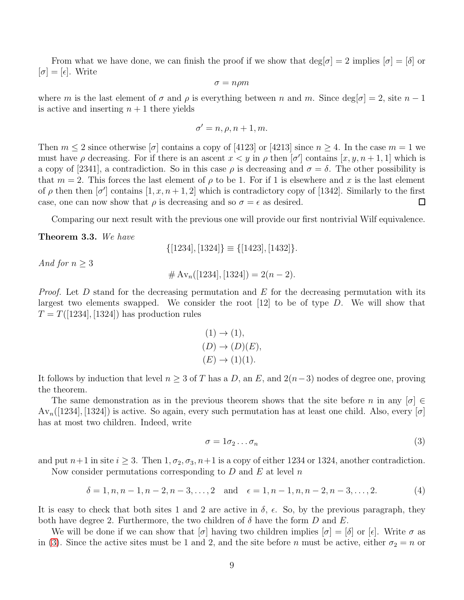From what we have done, we can finish the proof if we show that  $\deg[\sigma] = 2$  implies  $[\sigma] = [\delta]$  or  $[\sigma] = [\epsilon]$ . Write

$$
\sigma = n\rho m
$$

where m is the last element of  $\sigma$  and  $\rho$  is everything between n and m. Since  $\deg[\sigma] = 2$ , site  $n - 1$ is active and inserting  $n + 1$  there yields

$$
\sigma' = n, \rho, n+1, m.
$$

Then  $m \leq 2$  since otherwise  $\sigma$  contains a copy of [4123] or [4213] since  $n \geq 4$ . In the case  $m = 1$  we must have  $\rho$  decreasing. For if there is an ascent  $x < y$  in  $\rho$  then  $[\sigma']$  contains  $[x, y, n+1, 1]$  which is a copy of [2341], a contradiction. So in this case  $\rho$  is decreasing and  $\sigma = \delta$ . The other possibility is that  $m = 2$ . This forces the last element of  $\rho$  to be 1. For if 1 is elsewhere and x is the last element of  $\rho$  then then  $[\sigma']$  contains  $[1, x, n+1, 2]$  which is contradictory copy of [1342]. Similarly to the first case, one can now show that  $\rho$  is decreasing and so  $\sigma = \epsilon$  as desired.  $\Box$ 

Comparing our next result with the previous one will provide our first nontrivial Wilf equivalence.

<span id="page-8-1"></span>Theorem 3.3. We have

$$
\{[1234],[1324]\} \equiv \{[1423],[1432]\}.
$$

And for  $n \geq 3$ 

$$
# Av_n([1234],[1324]) = 2(n-2).
$$

*Proof.* Let D stand for the decreasing permutation and  $E$  for the decreasing permutation with its largest two elements swapped. We consider the root [12] to be of type D. We will show that  $T = T([1234], [1324])$  has production rules

$$
(1) \rightarrow (1),
$$
  
\n
$$
(D) \rightarrow (D)(E),
$$
  
\n
$$
(E) \rightarrow (1)(1).
$$

It follows by induction that level  $n \geq 3$  of T has a D, an E, and  $2(n-3)$  nodes of degree one, proving the theorem.

The same demonstration as in the previous theorem shows that the site before n in any  $[\sigma] \in$  $Av_n([1234], [1324])$  is active. So again, every such permutation has at least one child. Also, every [ $\sigma$ ] has at most two children. Indeed, write

<span id="page-8-0"></span>
$$
\sigma = 1\sigma_2 \dots \sigma_n \tag{3}
$$

and put  $n+1$  in site  $i \geq 3$ . Then  $1, \sigma_2, \sigma_3, n+1$  is a copy of either 1234 or 1324, another contradiction.

Now consider permutations corresponding to  $D$  and  $E$  at level  $n$ 

<span id="page-8-2"></span>
$$
\delta = 1, n, n - 1, n - 2, n - 3, \dots, 2 \quad \text{and} \quad \epsilon = 1, n - 1, n, n - 2, n - 3, \dots, 2. \tag{4}
$$

It is easy to check that both sites 1 and 2 are active in  $\delta$ ,  $\epsilon$ . So, by the previous paragraph, they both have degree 2. Furthermore, the two children of  $\delta$  have the form D and E.

We will be done if we can show that  $[\sigma]$  having two children implies  $[\sigma] = [\delta]$  or  $[\epsilon]$ . Write  $\sigma$  as in [\(3\)](#page-8-0). Since the active sites must be 1 and 2, and the site before n must be active, either  $\sigma_2 = n$  or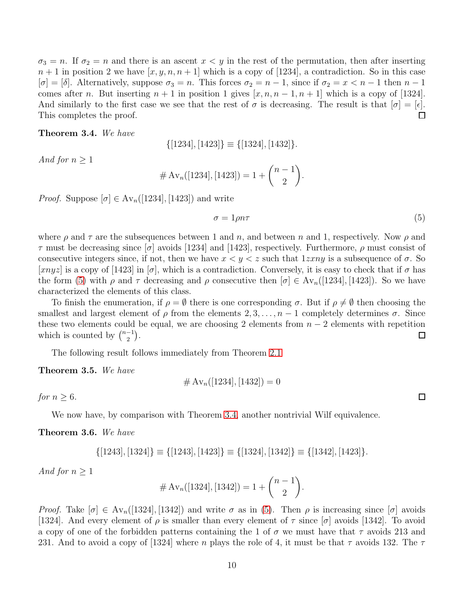$\sigma_3 = n$ . If  $\sigma_2 = n$  and there is an ascent  $x < y$  in the rest of the permutation, then after inserting  $n+1$  in position 2 we have  $[x, y, n, n+1]$  which is a copy of [1234], a contradiction. So in this case  $[\sigma] = [\delta]$ . Alternatively, suppose  $\sigma_3 = n$ . This forces  $\sigma_2 = n - 1$ , since if  $\sigma_2 = x < n - 1$  then  $n - 1$ comes after n. But inserting  $n + 1$  in position 1 gives  $[x, n, n - 1, n + 1]$  which is a copy of [1324]. And similarly to the first case we see that the rest of  $\sigma$  is decreasing. The result is that  $[\sigma] = [\epsilon]$ . This completes the proof.  $\Box$ 

<span id="page-9-1"></span>Theorem 3.4. We have

 $\{[1234], [1423] \} \equiv \{[1324], [1432] \}.$ 

And for  $n \geq 1$ 

# Av<sub>n</sub>([1234], [1423]) = 
$$
1 + {n-1 \choose 2}
$$
.

*Proof.* Suppose  $[\sigma] \in Av_n([1234], [1423])$  and write

<span id="page-9-0"></span>
$$
\sigma = 1\rho n\tau \tag{5}
$$

where  $\rho$  and  $\tau$  are the subsequences between 1 and n, and between n and 1, respectively. Now  $\rho$  and  $\tau$  must be decreasing since  $[\sigma]$  avoids [1234] and [1423], respectively. Furthermore,  $\rho$  must consist of consecutive integers since, if not, then we have  $x < y < z$  such that  $1z\overline{x}ny$  is a subsequence of  $\sigma$ . So  $|xnyz|$  is a copy of [1423] in  $|\sigma|$ , which is a contradiction. Conversely, it is easy to check that if  $\sigma$  has the form [\(5\)](#page-9-0) with  $\rho$  and  $\tau$  decreasing and  $\rho$  consecutive then  $[\sigma] \in Av_n([1234], [1423])$ . So we have characterized the elements of this class.

To finish the enumeration, if  $\rho = \emptyset$  there is one corresponding  $\sigma$ . But if  $\rho \neq \emptyset$  then choosing the smallest and largest element of  $\rho$  from the elements 2, 3, ...,  $n-1$  completely determines  $\sigma$ . Since these two elements could be equal, we are choosing 2 elements from  $n-2$  elements with repetition which is counted by  $\binom{n-1}{2}$  $\binom{-1}{2}$ .  $\Box$ 

The following result follows immediately from Theorem [2.1](#page-4-0)

<span id="page-9-2"></span>Theorem 3.5. We have

$$
\#\operatorname{Av}_n([1234],[1432]) = 0
$$

for  $n \geq 6$ .

We now have, by comparison with Theorem [3.4,](#page-9-1) another nontrivial Wilf equivalence.

<span id="page-9-3"></span>Theorem 3.6. We have

$$
\{[1243], [1324]\} \equiv \{[1243], [1423]\} \equiv \{[1324], [1342]\} \equiv \{[1342], [1423]\}.
$$

And for  $n \geq 1$ 

$$
\#\operatorname{Av}_n([1324],[1342]) = 1 + \binom{n-1}{2}.
$$

Proof. Take  $[\sigma] \in Av_n([1324], [1342])$  and write  $\sigma$  as in [\(5\)](#page-9-0). Then  $\rho$  is increasing since  $[\sigma]$  avoids [1324]. And every element of  $\rho$  is smaller than every element of  $\tau$  since  $[\sigma]$  avoids [1342]. To avoid a copy of one of the forbidden patterns containing the 1 of  $\sigma$  we must have that  $\tau$  avoids 213 and 231. And to avoid a copy of [1324] where n plays the role of 4, it must be that  $\tau$  avoids 132. The  $\tau$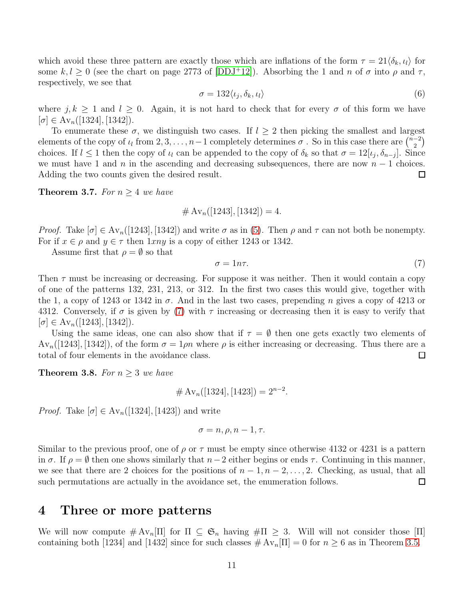which avoid these three pattern are exactly those which are inflations of the form  $\tau = 21 \langle \delta_k, \iota_l \rangle$  for some k,  $l \geq 0$  (see the chart on page 2773 of [\[DDJ](#page-21-1)+12]). Absorbing the 1 and n of  $\sigma$  into  $\rho$  and  $\tau$ , respectively, we see that

<span id="page-10-1"></span>
$$
\sigma = 132 \langle \iota_j, \delta_k, \iota_l \rangle \tag{6}
$$

where  $j, k \ge 1$  and  $l \ge 0$ . Again, it is not hard to check that for every  $\sigma$  of this form we have  $[\sigma] \in \text{Av}_n([1324], [1342]).$ 

To enumerate these  $\sigma$ , we distinguish two cases. If  $l > 2$  then picking the smallest and largest elements of the copy of  $\iota_l$  from 2, 3, . . . , n – 1 completely determines  $\sigma$  . So in this case there are  $\binom{n-2}{2}$  $\binom{-2}{2}$ choices. If  $l \leq 1$  then the copy of  $\iota_l$  can be appended to the copy of  $\delta_k$  so that  $\sigma = 12[\iota_j, \delta_{n-j}]$ . Since we must have 1 and n in the ascending and decreasing subsequences, there are now  $n-1$  choices. Adding the two counts given the desired result.  $\Box$ 

<span id="page-10-2"></span>**Theorem 3.7.** For  $n \geq 4$  we have

 $\#\,\mathrm{Av}_n([1243],[1342])=4.$ 

*Proof.* Take  $[\sigma] \in Av_n([1243], [1342])$  and write  $\sigma$  as in [\(5\)](#page-9-0). Then  $\rho$  and  $\tau$  can not both be nonempty. For if  $x \in \rho$  and  $y \in \tau$  then  $1xny$  is a copy of either 1243 or 1342.

Assume first that  $\rho = \emptyset$  so that

<span id="page-10-0"></span>
$$
\sigma = 1n\tau. \tag{7}
$$

Then  $\tau$  must be increasing or decreasing. For suppose it was neither. Then it would contain a copy of one of the patterns 132, 231, 213, or 312. In the first two cases this would give, together with the 1, a copy of 1243 or 1342 in  $\sigma$ . And in the last two cases, prepending n gives a copy of 4213 or 4312. Conversely, if  $\sigma$  is given by [\(7\)](#page-10-0) with  $\tau$  increasing or decreasing then it is easy to verify that  $[\sigma] \in \text{Av}_n([1243], [1342]).$ 

Using the same ideas, one can also show that if  $\tau = \emptyset$  then one gets exactly two elements of  $Av_n([1243],[1342])$ , of the form  $\sigma = 1\rho n$  where  $\rho$  is either increasing or decreasing. Thus there are a total of four elements in the avoidance class.  $\Box$ 

<span id="page-10-3"></span>**Theorem 3.8.** For  $n \geq 3$  we have

$$
\#\operatorname{Av}_n([1324],[1423]) = 2^{n-2}.
$$

*Proof.* Take  $[\sigma] \in Av_n([1324], [1423])$  and write

$$
\sigma = n, \rho, n - 1, \tau.
$$

Similar to the previous proof, one of  $\rho$  or  $\tau$  must be empty since otherwise 4132 or 4231 is a pattern in  $\sigma$ . If  $\rho = \emptyset$  then one shows similarly that  $n-2$  either begins or ends  $\tau$ . Continuing in this manner, we see that there are 2 choices for the positions of  $n-1, n-2, \ldots, 2$ . Checking, as usual, that all such permutations are actually in the avoidance set, the enumeration follows.  $\Box$ 

### 4 Three or more patterns

We will now compute  $\#\mathrm{Av}_n[\Pi]$  for  $\Pi \subseteq \mathfrak{S}_n$  having  $\#\Pi \geq 3$ . Will will not consider those  $[\Pi]$ containing both [1234] and [1432] since for such classes  $\#\text{Av}_n[\Pi] = 0$  for  $n \geq 6$  as in Theorem [3.5.](#page-9-2)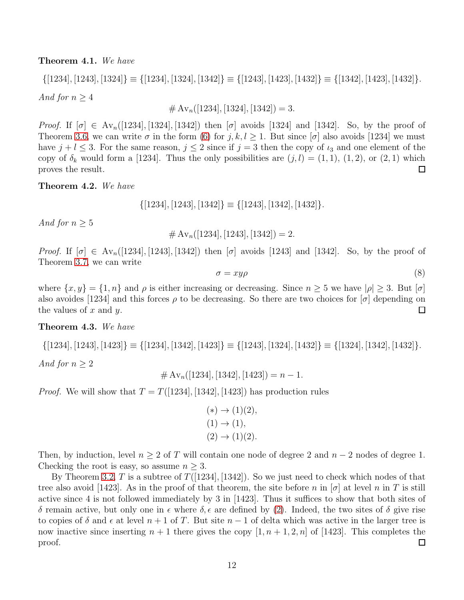<span id="page-11-0"></span>Theorem 4.1. We have

 $\{[1234], [1243], [1324] \} \equiv \{[1234], [1324], [1342] \} \equiv \{[1243], [1423], [1432] \} \equiv \{[1342], [1423], [1432] \}.$ 

And for  $n \geq 4$ 

 $\#\,\mathrm{Av}_n([1234],[1324],[1342]) = 3.$ 

Proof. If  $[\sigma] \in Av_n([1234], [1324], [1342])$  then  $[\sigma]$  avoids [1324] and [1342]. So, by the proof of Theorem [3.6,](#page-9-3) we can write  $\sigma$  in the form [\(6\)](#page-10-1) for  $j, k, l \ge 1$ . But since  $[\sigma]$  also avoids [1234] we must have  $j + l \leq 3$ . For the same reason,  $j \leq 2$  since if  $j = 3$  then the copy of  $\iota_3$  and one element of the copy of  $\delta_k$  would form a [1234]. Thus the only possibilities are  $(j, l) = (1, 1), (1, 2),$  or  $(2, 1)$  which proves the result. □

Theorem 4.2. We have

 $\{[1234], [1243], [1342] \} \equiv \{[1243], [1342], [1432] \}.$ 

And for  $n \geq 5$ 

 $\#\,\mathrm{Av}_n([1234],[1243],[1342]) = 2.$ 

Proof. If  $[\sigma] \in \text{Av}_n([1234], [1243], [1342])$  then  $[\sigma]$  avoids [1243] and [1342]. So, by the proof of Theorem [3.7,](#page-10-2) we can write

<span id="page-11-1"></span>
$$
\sigma = xy\rho \tag{8}
$$

where  $\{x, y\} = \{1, n\}$  and  $\rho$  is either increasing or decreasing. Since  $n \geq 5$  we have  $|\rho| \geq 3$ . But  $|\sigma|$ also avoides [1234] and this forces  $\rho$  to be decreasing. So there are two choices for  $[\sigma]$  depending on the values of  $x$  and  $y$ .  $\Box$ 

#### Theorem 4.3. We have

 $\{[1234], [1243], [1423] \} \equiv \{[1234], [1342], [1423] \} \equiv \{[1243], [1324], [1432] \} \equiv \{[1324], [1342], [1432] \}.$ 

And for  $n \geq 2$ 

$$
\# Av_n([1234],[1342],[1423]) = n - 1.
$$

*Proof.* We will show that  $T = T([1234], [1342], [1423])$  has production rules

$$
(*) \to (1)(2), (1) \to (1), (2) \to (1)(2).
$$

Then, by induction, level  $n \geq 2$  of T will contain one node of degree 2 and  $n-2$  nodes of degree 1. Checking the root is easy, so assume  $n \geq 3$ .

By Theorem [3.2,](#page-7-0) T is a subtree of  $T([1234], [1342])$ . So we just need to check which nodes of that tree also avoid [1423]. As in the proof of that theorem, the site before n in  $\sigma$  at level n in T is still active since 4 is not followed immediately by 3 in [1423]. Thus it suffices to show that both sites of δ remain active, but only one in  $\epsilon$  where  $\delta$ ,  $\epsilon$  are defined by [\(2\)](#page-7-1). Indeed, the two sites of δ give rise to copies of  $\delta$  and  $\epsilon$  at level  $n + 1$  of T. But site  $n - 1$  of delta which was active in the larger tree is now inactive since inserting  $n + 1$  there gives the copy  $[1, n + 1, 2, n]$  of [1423]. This completes the proof.  $\Box$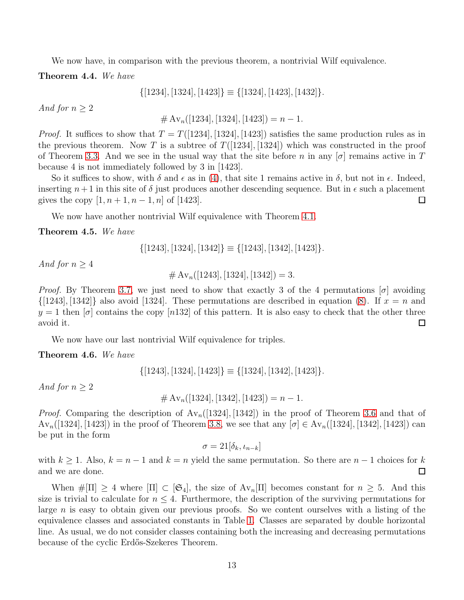We now have, in comparison with the previous theorem, a nontrivial Wilf equivalence.

Theorem 4.4. We have

$$
\{[1234], [1324], [1423]\} \equiv \{[1324], [1423], [1432]\}.
$$

And for  $n \geq 2$ 

 $\#\,\mathrm{Av}_n([1234],[1324],[1423]) = n-1.$ 

*Proof.* It suffices to show that  $T = T([1234], [1324], [1423])$  satisfies the same production rules as in the previous theorem. Now T is a subtree of  $T([1234], [1324])$  which was constructed in the proof of Theorem [3.3.](#page-8-1) And we see in the usual way that the site before n in any  $[\sigma]$  remains active in T because 4 is not immediately followed by 3 in [1423].

So it suffices to show, with  $\delta$  and  $\epsilon$  as in [\(4\)](#page-8-2), that site 1 remains active in  $\delta$ , but not in  $\epsilon$ . Indeed, inserting  $n+1$  in this site of  $\delta$  just produces another descending sequence. But in  $\epsilon$  such a placement gives the copy  $[1, n+1, n-1, n]$  of [1423].  $\Box$ 

We now have another nontrivial Wilf equivalence with Theorem [4.1.](#page-11-0)

Theorem 4.5. We have

$$
\{[1243], [1324], [1342]\} \equiv \{[1243], [1342], [1423]\}.
$$

And for  $n \geq 4$ 

 $\#\,\mathrm{Av}_n([1243],[1324],[1342]) = 3.$ 

*Proof.* By Theorem [3.7,](#page-10-2) we just need to show that exactly 3 of the 4 permutations  $[\sigma]$  avoiding  $\{[1243], [1342]\}\$ also avoid [1324]. These permutations are described in equation [\(8\)](#page-11-1). If  $x = n$  and  $y = 1$  then  $[\sigma]$  contains the copy [n132] of this pattern. It is also easy to check that the other three avoid it.  $\Box$ 

We now have our last nontrivial Wilf equivalence for triples.

Theorem 4.6. We have

$$
\{[1243], [1324], [1423]\} \equiv \{[1324], [1342], [1423]\}.
$$

And for  $n > 2$ 

 $\#\,\mathrm{Av}_n([1324],[1342],[1423]) = n-1.$ 

*Proof.* Comparing the description of  $Av_n([1324], [1342])$  in the proof of Theorem [3.6](#page-9-3) and that of  $Av_n([1324],[1423])$  in the proof of Theorem [3.8,](#page-10-3) we see that any  $[\sigma] \in Av_n([1324],[1342],[1423])$  can be put in the form

 $\sigma = 21[\delta_k, t_{n-k}]$ 

with  $k \ge 1$ . Also,  $k = n - 1$  and  $k = n$  yield the same permutation. So there are  $n - 1$  choices for k and we are done.  $\Box$ 

When  $\#\Pi] \geq 4$  where  $[\Pi] \subset [\mathfrak{S}_4]$ , the size of  $Av_n[\Pi]$  becomes constant for  $n \geq 5$ . And this size is trivial to calculate for  $n \leq 4$ . Furthermore, the description of the surviving permutations for large n is easy to obtain given our previous proofs. So we content ourselves with a listing of the equivalence classes and associated constants in Table [1.](#page-13-1) Classes are separated by double horizontal line. As usual, we do not consider classes containing both the increasing and decreasing permutations because of the cyclic Erdős-Szekeres Theorem.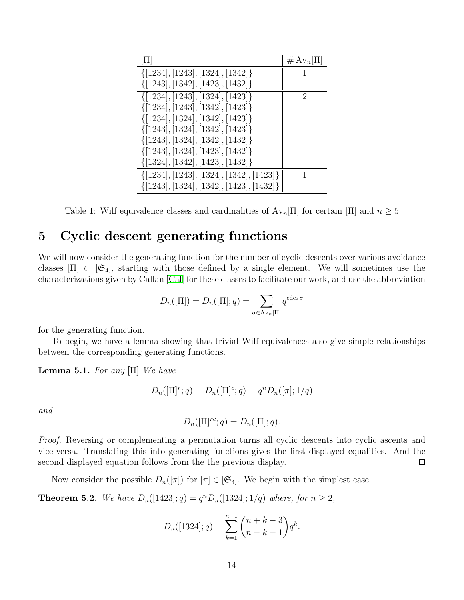| П                                            | $# Av_n[\Pi]$ |
|----------------------------------------------|---------------|
| $\{[1234], [1243], [1324], [1342]\}$         |               |
| $\{[1243], [1342], [1423], [1432]\}$         |               |
| $\{[1234], [1243], [1324], [1423]\}$         | 2             |
| $\{[1234], [1243], [1342], [1423]\}$         |               |
| $\{[1234], [1324], [1342], [1423]\}$         |               |
| $\{[1243], [1324], [1342], [1423]\}$         |               |
| $\{[1243], [1324], [1342], [1432]\}$         |               |
| $\{[1243], [1324], [1423], [1432]\}$         |               |
| $\{[1324], [1342], [1423], [1432]\}$         |               |
| $\{[1234], [1243], [1324], [1342], [1423]\}$ |               |
| $\{[1243], [1324], [1342], [1423], [1432]\}$ |               |

<span id="page-13-1"></span>Table 1: Wilf equivalence classes and cardinalities of  $Av_n[\Pi]$  for certain [II] and  $n \geq 5$ 

## <span id="page-13-0"></span>5 Cyclic descent generating functions

We will now consider the generating function for the number of cyclic descents over various avoidance classes  $[\Pi] \subset [\mathfrak{S}_4]$ , starting with those defined by a single element. We will sometimes use the characterizations given by Callan [\[Cal\]](#page-21-2) for these classes to facilitate our work, and use the abbreviation

$$
D_n([\Pi]) = D_n([\Pi]; q) = \sum_{\sigma \in \text{Av}_n[\Pi]} q^{\text{cdes}\,\sigma}
$$

for the generating function.

To begin, we have a lemma showing that trivial Wilf equivalences also give simple relationships between the corresponding generating functions.

<span id="page-13-2"></span>**Lemma 5.1.** For any  $[\Pi]$  We have

$$
D_n([\Pi]^r; q) = D_n([\Pi]^c; q) = q^n D_n([\pi]; 1/q)
$$

and

$$
D_n([\Pi]^{rc};q) = D_n([\Pi];q).
$$

*Proof.* Reversing or complementing a permutation turns all cyclic descents into cyclic ascents and vice-versa. Translating this into generating functions gives the first displayed equalities. And the second displayed equation follows from the the previous display.  $\Box$ 

Now consider the possible  $D_n([\pi])$  for  $[\pi] \in [\mathfrak{S}_4]$ . We begin with the simplest case.

**Theorem 5.2.** We have  $D_n([1423]; q) = q^n D_n([1324]; 1/q)$  where, for  $n \ge 2$ ,

$$
D_n([1324];q) = \sum_{k=1}^{n-1} {n+k-3 \choose n-k-1} q^k.
$$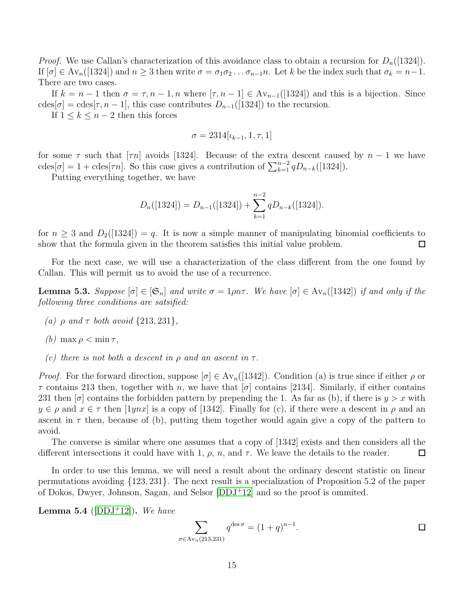*Proof.* We use Callan's characterization of this avoidance class to obtain a recursion for  $D_n(1324)$ . If  $[\sigma] \in Av_n([1324])$  and  $n \geq 3$  then write  $\sigma = \sigma_1 \sigma_2 \ldots \sigma_{n-1} n$ . Let k be the index such that  $\sigma_k = n-1$ . There are two cases.

If  $k = n - 1$  then  $\sigma = \tau, n - 1, n$  where  $[\tau, n - 1] \in Av_{n-1}([1324])$  and this is a bijection. Since cdes[ $\sigma$ ] = cdes[ $\tau$ ,  $n-1$ ], this case contributes  $D_{n-1}([1324])$  to the recursion.

If  $1 \leq k \leq n-2$  then this forces

$$
\sigma = 2314[\iota_{k-1}, 1, \tau, 1]
$$

for some  $\tau$  such that [ $\tau n$ ] avoids [1324]. Because of the extra descent caused by  $n-1$  we have cdes[ $\sigma$ ] = 1 + cdes[ $\tau n$ ]. So this case gives a contribution of  $\sum_{k=1}^{n-2} q D_{n-k}([1324])$ .

Putting everything together, we have

$$
D_n([1324]) = D_{n-1}([1324]) + \sum_{k=1}^{n-2} q D_{n-k}([1324]).
$$

for  $n \geq 3$  and  $D_2(1324) = q$ . It is now a simple manner of manipulating binomial coefficients to show that the formula given in the theorem satisfies this initial value problem. П

For the next case, we will use a characterization of the class different from the one found by Callan. This will permit us to avoid the use of a recurrence.

<span id="page-14-0"></span>**Lemma 5.3.** Suppose  $[\sigma] \in [\mathfrak{S}_n]$  and write  $\sigma = 1 \rho n \tau$ . We have  $[\sigma] \in \text{Av}_n([1342])$  if and only if the following three conditions are satsified:

- (a)  $\rho$  and  $\tau$  both avoid  $\{213, 231\}$ ,
- (b) max  $\rho < \min \tau$ ,
- (c) there is not both a descent in  $\rho$  and an ascent in  $\tau$ .

*Proof.* For the forward direction, suppose  $[\sigma] \in Av_n([1342])$ . Condition (a) is true since if either  $\rho$  or  $\tau$  contains 213 then, together with n, we have that  $[\sigma]$  contains [2134]. Similarly, if either contains 231 then  $\sigma$  contains the forbidden pattern by prepending the 1. As far as (b), if there is  $y > x$  with  $y \in \rho$  and  $x \in \tau$  then  $[1ynx]$  is a copy of [1342]. Finally for (c), if there were a descent in  $\rho$  and an ascent in  $\tau$  then, because of (b), putting them together would again give a copy of the pattern to avoid.

The converse is similar where one assumes that a copy of [1342] exists and then considers all the different intersections it could have with 1,  $\rho$ ,  $n$ , and  $\tau$ . We leave the details to the reader.  $\Box$ 

In order to use this lemma, we will need a result about the ordinary descent statistic on linear permutations avoiding {123, 231}. The next result is a specialization of Proposition 5.2 of the paper of Dokos, Dwyer, Johnson, Sagan, and Selsor  $[DDJ+12]$  and so the proof is ommited.

<span id="page-14-1"></span>**Lemma 5.4** ([\[DDJ](#page-21-1)+12]). We have

$$
\sum_{\sigma \in \text{Av}_n(213,231)} q^{\text{des}\,\sigma} = (1+q)^{n-1}.
$$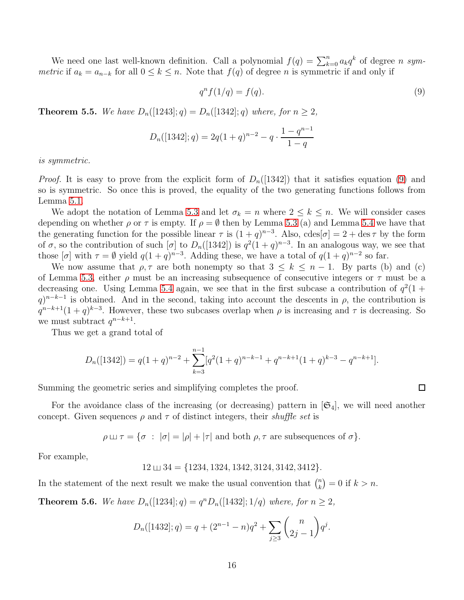We need one last well-known definition. Call a polynomial  $f(q) = \sum_{k=0}^{n} a_k q^k$  of degree n symmetric if  $a_k = a_{n-k}$  for all  $0 \le k \le n$ . Note that  $f(q)$  of degree n is symmetric if and only if

<span id="page-15-0"></span>
$$
q^n f(1/q) = f(q). \tag{9}
$$

**Theorem 5.5.** We have  $D_n([1243]; q) = D_n([1342]; q)$  where, for  $n \geq 2$ ,

$$
D_n([1342];q) = 2q(1+q)^{n-2} - q \cdot \frac{1-q^{n-1}}{1-q}
$$

is symmetric.

*Proof.* It is easy to prove from the explicit form of  $D_n([1342])$  that it satisfies equation [\(9\)](#page-15-0) and so is symmetric. So once this is proved, the equality of the two generating functions follows from Lemma [5.1.](#page-13-2)

We adopt the notation of Lemma [5.3](#page-14-0) and let  $\sigma_k = n$  where  $2 \leq k \leq n$ . We will consider cases depending on whether  $\rho$  or  $\tau$  is empty. If  $\rho = \emptyset$  then by Lemma [5.3](#page-14-0) (a) and Lemma [5.4](#page-14-1) we have that the generating function for the possible linear  $\tau$  is  $(1+q)^{n-3}$ . Also,  $\text{cdes}[\sigma] = 2 + \text{des}\,\tau$  by the form of  $\sigma$ , so the contribution of such  $[\sigma]$  to  $D_n([1342])$  is  $q^2(1+q)^{n-3}$ . In an analogous way, we see that those  $[\sigma]$  with  $\tau = \emptyset$  yield  $q(1+q)^{n-3}$ . Adding these, we have a total of  $q(1+q)^{n-2}$  so far.

We now assume that  $\rho, \tau$  are both nonempty so that  $3 \leq k \leq n-1$ . By parts (b) and (c) of Lemma [5.3,](#page-14-0) either  $\rho$  must be an increasing subsequence of consecutive integers or  $\tau$  must be a decreasing one. Using Lemma [5.4](#page-14-1) again, we see that in the first subcase a contribution of  $q^2(1 +$  $q^{n-k-1}$  is obtained. And in the second, taking into account the descents in  $\rho$ , the contribution is  $q^{n-k+1}(1+q)^{k-3}$ . However, these two subcases overlap when  $\rho$  is increasing and  $\tau$  is decreasing. So we must subtract  $q^{n-k+1}$ .

Thus we get a grand total of

$$
D_n([1342]) = q(1+q)^{n-2} + \sum_{k=3}^{n-1} [q^2(1+q)^{n-k-1} + q^{n-k+1}(1+q)^{k-3} - q^{n-k+1}].
$$

Summing the geometric series and simplifying completes the proof.

For the avoidance class of the increasing (or decreasing) pattern in  $|\mathfrak{S}_4|$ , we will need another concept. Given sequences  $\rho$  and  $\tau$  of distinct integers, their *shuffle set* is

 $\rho \sqcup \tau = {\sigma : |\sigma| = |\rho| + |\tau|}$  and both  $\rho, \tau$  are subsequences of  $\sigma$ .

For example,

$$
12 \sqcup 34 = \{1234, 1324, 1342, 3124, 3142, 3412\}.
$$

In the statement of the next result we make the usual convention that  $\binom{n}{k}$  $\binom{n}{k} = 0$  if  $k > n$ .

**Theorem 5.6.** We have  $D_n([1234]; q) = q^n D_n([1432]; 1/q)$  where, for  $n \ge 2$ ,

$$
D_n([1432];q) = q + (2^{n-1} - n)q^2 + \sum_{j \ge 3} {n \choose 2j-1} q^j.
$$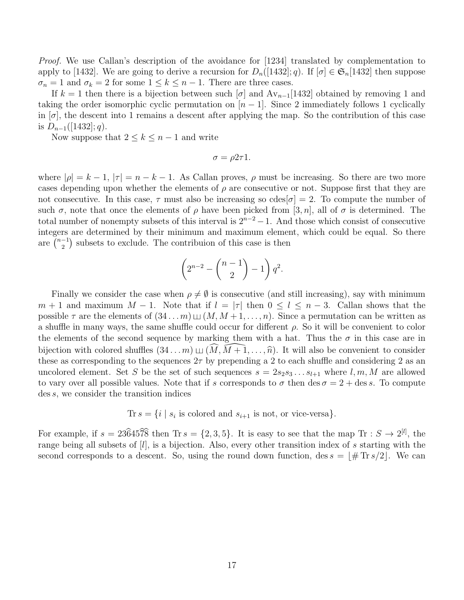*Proof.* We use Callan's description of the avoidance for  $|1234|$  translated by complementation to apply to [1432]. We are going to derive a recursion for  $D_n([1432]; q)$ . If  $[\sigma] \in \mathfrak{S}_n[1432]$  then suppose  $\sigma_n = 1$  and  $\sigma_k = 2$  for some  $1 \leq k \leq n-1$ . There are three cases.

If  $k = 1$  then there is a bijection between such  $\sigma$  and  $Av_{n-1}[1432]$  obtained by removing 1 and taking the order isomorphic cyclic permutation on  $[n-1]$ . Since 2 immediately follows 1 cyclically in  $[\sigma]$ , the descent into 1 remains a descent after applying the map. So the contribution of this case is  $D_{n-1}([1432]; q)$ .

Now suppose that  $2 \leq k \leq n-1$  and write

$$
\sigma = \rho 2\tau 1.
$$

where  $|\rho| = k - 1$ ,  $|\tau| = n - k - 1$ . As Callan proves,  $\rho$  must be increasing. So there are two more cases depending upon whether the elements of  $\rho$  are consecutive or not. Suppose first that they are not consecutive. In this case,  $\tau$  must also be increasing so cdes  $|\sigma|=2$ . To compute the number of such  $\sigma$ , note that once the elements of  $\rho$  have been picked from [3, n], all of  $\sigma$  is determined. The total number of nonempty subsets of this interval is  $2^{n-2} - 1$ . And those which consist of consecutive integers are determined by their minimum and maximum element, which could be equal. So there are  $\left(\begin{array}{c} n-1 \\ 2 \end{array}\right)$  $\binom{-1}{2}$  subsets to exclude. The contribuion of this case is then

$$
\left(2^{n-2} - \binom{n-1}{2} - 1\right) q^2.
$$

Finally we consider the case when  $\rho \neq \emptyset$  is consecutive (and still increasing), say with minimum  $m + 1$  and maximum  $M - 1$ . Note that if  $l = |\tau|$  then  $0 \leq l \leq n - 3$ . Callan shows that the possible  $\tau$  are the elements of  $(34...m) \sqcup (M, M+1,...,n)$ . Since a permutation can be written as a shuffle in many ways, the same shuffle could occur for different  $\rho$ . So it will be convenient to color the elements of the second sequence by marking them with a hat. Thus the  $\sigma$  in this case are in bijection with colored shuffles  $(34 \dots m) \sqcup (M, \overline{M+1}, \dots, \hat{n})$ . It will also be convenient to consider these as corresponding to the sequences  $2\tau$  by prepending a 2 to each shuffle and considering 2 as an uncolored element. Set S be the set of such sequences  $s = 2s_2s_3 \dots s_{l+1}$  where  $l, m, M$  are allowed to vary over all possible values. Note that if s corresponds to  $\sigma$  then des  $\sigma = 2 + \text{des } s$ . To compute des s, we consider the transition indices

Tr 
$$
s = \{i \mid s_i \text{ is colored and } s_{i+1} \text{ is not, or vice-versa}\}.
$$

For example, if  $s = 23\hat{6}45\hat{7}\hat{8}$  then Tr  $s = \{2, 3, 5\}$ . It is easy to see that the map Tr :  $S \to 2^{[l]}$ , the range being all subsets of [l], is a bijection. Also, every other transition index of s starting with the second corresponds to a descent. So, using the round down function, des  $s = |\# \text{Tr} s/2|$ . We can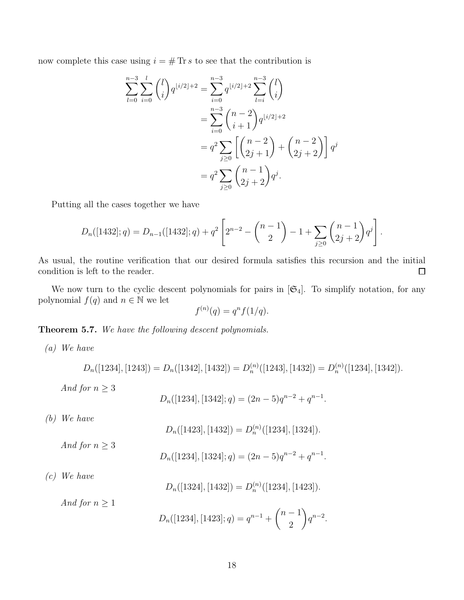now complete this case using  $i = \# \mathop{\text{Tr}} s$  to see that the contribution is

$$
\sum_{l=0}^{n-3} \sum_{i=0}^{l} {l \choose i} q^{\lfloor i/2 \rfloor + 2} = \sum_{i=0}^{n-3} q^{\lfloor i/2 \rfloor + 2} \sum_{l=i}^{n-3} {l \choose i}
$$
  
= 
$$
\sum_{i=0}^{n-3} {n-2 \choose i+1} q^{\lfloor i/2 \rfloor + 2}
$$
  
= 
$$
q^2 \sum_{j\geq 0} \left[ {n-2 \choose 2j+1} + {n-2 \choose 2j+2} \right] q^j
$$
  
= 
$$
q^2 \sum_{j\geq 0} {n-1 \choose 2j+2} q^j.
$$

Putting all the cases together we have

$$
D_n([1432];q) = D_{n-1}([1432];q) + q^2 \left[ 2^{n-2} - {n-1 \choose 2} - 1 + \sum_{j \ge 0} {n-1 \choose 2j+2} q^j \right].
$$

As usual, the routine verification that our desired formula satisfies this recursion and the initial condition is left to the reader.  $\Box$ 

We now turn to the cyclic descent polynomials for pairs in  $[\mathfrak{S}_4]$ . To simplify notation, for any polynomial  $f(q)$  and  $n \in \mathbb{N}$  we let

$$
f^{(n)}(q) = q^n f(1/q).
$$

<span id="page-17-0"></span>Theorem 5.7. We have the following descent polynomials.

(a) We have

$$
D_n([1234],[1243]) = D_n([1342],[1432]) = D_n^{(n)}([1243],[1432]) = D_n^{(n)}([1234],[1342]).
$$

And for  $n \geq 3$ 

$$
D_n([1234],[1342];q) = (2n-5)q^{n-2} + q^{n-1}
$$

.

(b) We have

$$
D_n([1423],[1432]) = D_n^{(n)}([1234],[1324]).
$$

And for  $n \geq 3$ 

$$
D_n([1234],[1324];q) = (2n-5)q^{n-2} + q^{n-1}.
$$

(c) We have

$$
D_n([1324],[1432]) = D_n^{(n)}([1234],[1423]).
$$

And for  $n \geq 1$ 

$$
D_n([1234],[1423];q) = q^{n-1} + \binom{n-1}{2} q^{n-2}.
$$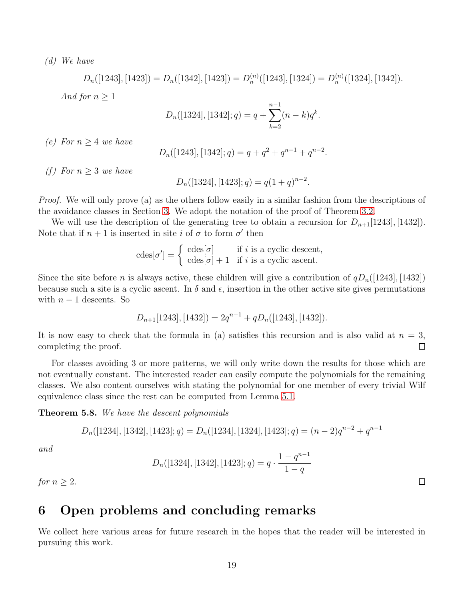(d) We have

 $D_n([1243], [1423]) = D_n([1342], [1423]) = D_n^{(n)}([1243], [1324]) = D_n^{(n)}([1324], [1342]).$ 

And for  $n \geq 1$ 

$$
D_n([1324],[1342];q) = q + \sum_{k=2}^{n-1} (n-k)q^k.
$$

(e) For  $n > 4$  we have

$$
D_n([1243],[1342];q) = q + q^2 + q^{n-1} + q^{n-2}.
$$

(f) For  $n \geq 3$  we have

$$
D_n([1324],[1423];q) = q(1+q)^{n-2}.
$$

*Proof.* We will only prove (a) as the others follow easily in a similar fashion from the descriptions of the avoidance classes in Section [3.](#page-6-0) We adopt the notation of the proof of Theorem [3.2.](#page-7-0)

We will use the description of the generating tree to obtain a recursion for  $D_{n+1}[1243], [1432]$ . Note that if  $n+1$  is inserted in site i of  $\sigma$  to form  $\sigma'$  then

$$
\operatorname{cdes}[\sigma'] = \left\{ \begin{array}{ll} \operatorname{cdes}[\sigma] & \text{if } i \text{ is a cyclic descent}, \\ \operatorname{cdes}[\sigma] + 1 & \text{if } i \text{ is a cyclic ascent}. \end{array} \right.
$$

Since the site before n is always active, these children will give a contribution of  $qD_n(|1243|, |1432|)$ because such a site is a cyclic ascent. In  $\delta$  and  $\epsilon$ , insertion in the other active site gives permutations with  $n-1$  descents. So

$$
D_{n+1}[1243], [1432]) = 2q^{n-1} + qD_n([1243], [1432]).
$$

It is now easy to check that the formula in (a) satisfies this recursion and is also valid at  $n = 3$ , completing the proof. П

For classes avoiding 3 or more patterns, we will only write down the results for those which are not eventually constant. The interested reader can easily compute the polynomials for the remaining classes. We also content ourselves with stating the polynomial for one member of every trivial Wilf equivalence class since the rest can be computed from Lemma [5.1.](#page-13-2)

Theorem 5.8. We have the descent polynomials

$$
D_n([1234],[1342],[1423];q) = D_n([1234],[1324],[1423];q) = (n-2)q^{n-2} + q^{n-1}
$$

and

$$
D_n([1324],[1342],[1423];q) = q \cdot \frac{1-q^{n-1}}{1-q}
$$

for  $n \geq 2$ .

## 6 Open problems and concluding remarks

We collect here various areas for future research in the hopes that the reader will be interested in pursuing this work.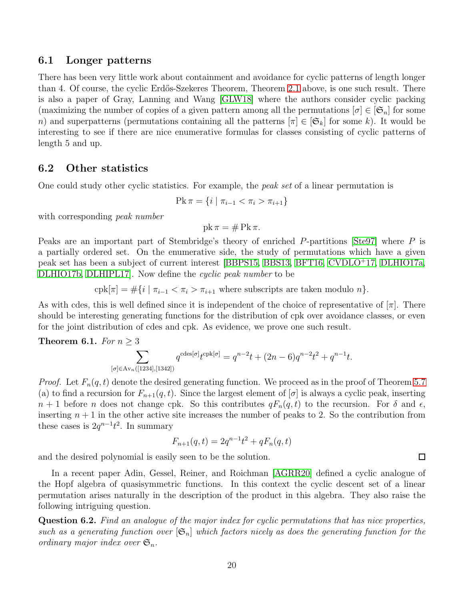### 6.1 Longer patterns

There has been very little work about containment and avoidance for cyclic patterns of length longer than 4. Of course, the cyclic Erdős-Szekeres Theorem, Theorem [2.1](#page-4-0) above, is one such result. There is also a paper of Gray, Lanning and Wang [\[GLW18\]](#page-22-5) where the authors consider cyclic packing (maximizing the number of copies of a given pattern among all the permutations  $[\sigma] \in [\mathfrak{S}_n]$  for some n) and superpatterns (permutations containing all the patterns  $[\pi] \in [\mathfrak{S}_k]$  for some k). It would be interesting to see if there are nice enumerative formulas for classes consisting of cyclic patterns of length 5 and up.

### 6.2 Other statistics

One could study other cyclic statistics. For example, the *peak set* of a linear permutation is

$$
Pk \pi = \{ i \mid \pi_{i-1} < \pi_i > \pi_{i+1} \}
$$

with corresponding *peak number* 

pk  $\pi = \# \mathrm{Pk} \pi$ .

Peaks are an important part of Stembridge's theory of enriched P-partitions [\[Ste97\]](#page-22-10) where P is a partially ordered set. On the enumerative side, the study of permutations which have a given peak set has been a subject of current interest [\[BBPS15,](#page-21-6) [BBS13,](#page-21-7) [BFT16,](#page-21-8) [CVDLO](#page-21-9)<sup>+</sup>17, [DLHIO17a,](#page-22-11) [DLHIO17b,](#page-22-12) [DLHIPL17\]](#page-22-13). Now define the cyclic peak number to be

cpk[ $\pi$ ] =  $\#\{i \mid \pi_{i-1} < \pi_i > \pi_{i+1} \text{ where subscripts are taken modulo } n\}.$ 

As with cdes, this is well defined since it is independent of the choice of representative of  $[\pi]$ . There should be interesting generating functions for the distribution of cpk over avoidance classes, or even for the joint distribution of cdes and cpk. As evidence, we prove one such result.

Theorem 6.1. For  $n \geq 3$ 

$$
\sum_{[\sigma] \in \text{Av}_n([1234],[1342])} q^{\text{cdes}[\sigma]} t^{\text{cpk}[\sigma]} = q^{n-2}t + (2n-6)q^{n-2}t^2 + q^{n-1}t.
$$

*Proof.* Let  $F_n(q, t)$  denote the desired generating function. We proceed as in the proof of Theorem [5.7](#page-17-0) (a) to find a recursion for  $F_{n+1}(q, t)$ . Since the largest element of  $[\sigma]$  is always a cyclic peak, inserting  $n+1$  before n does not change cpk. So this contributes  $qF_n(q,t)$  to the recursion. For  $\delta$  and  $\epsilon$ , inserting  $n + 1$  in the other active site increases the number of peaks to 2. So the contribution from these cases is  $2q^{n-1}t^2$ . In summary

$$
F_{n+1}(q,t) = 2q^{n-1}t^2 + qF_n(q,t)
$$

and the desired polynomial is easily seen to be the solution.

In a recent paper Adin, Gessel, Reiner, and Roichman [\[AGRR20\]](#page-21-10) defined a cyclic analogue of the Hopf algebra of quasisymmetric functions. In this context the cyclic descent set of a linear permutation arises naturally in the description of the product in this algebra. They also raise the following intriguing question.

Question 6.2. Find an analogue of the major index for cyclic permutations that has nice properties, such as a generating function over  $|\mathfrak{S}_n|$  which factors nicely as does the generating function for the ordinary major index over  $\mathfrak{S}_n$ .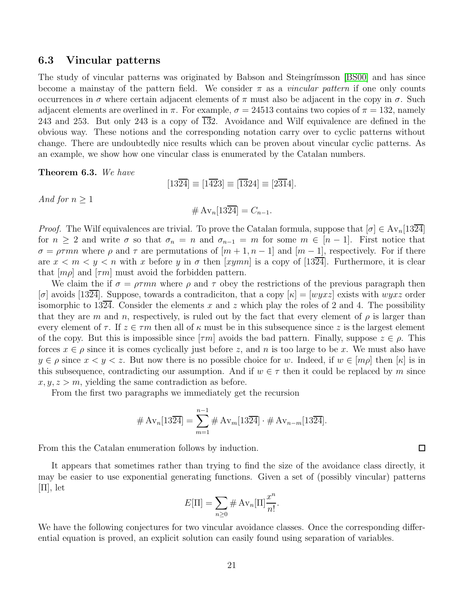### 6.3 Vincular patterns

The study of vincular patterns was originated by Babson and Steingrímsson [\[BS00\]](#page-21-11) and has since become a mainstay of the pattern field. We consider  $\pi$  as a *vincular pattern* if one only counts occurrences in  $\sigma$  where certain adjacent elements of  $\pi$  must also be adjacent in the copy in  $\sigma$ . Such adjacent elements are overlined in  $\pi$ . For example,  $\sigma = 24513$  contains two copies of  $\pi = 132$ , namely 243 and 253. But only 243 is a copy of  $\overline{132}$ . Avoidance and Wilf equivalence are defined in the obvious way. These notions and the corresponding notation carry over to cyclic patterns without change. There are undoubtedly nice results which can be proven about vincular cyclic patterns. As an example, we show how one vincular class is enumerated by the Catalan numbers.

Theorem 6.3. We have

And for  $n \geq$ 

$$
[13\overline{24}] \equiv [1\overline{42}3] \equiv [\overline{13}24] \equiv [2\overline{31}4].
$$
  
 
$$
\# \operatorname{Av}_n[13\overline{24}] = C_{n-1}.
$$

*Proof.* The Wilf equivalences are trivial. To prove the Catalan formula, suppose that  $[\sigma] \in Av_n[13\overline{24}]$ for  $n \geq 2$  and write  $\sigma$  so that  $\sigma_n = n$  and  $\sigma_{n-1} = m$  for some  $m \in [n-1]$ . First notice that  $\sigma = \rho \tau mn$  where  $\rho$  and  $\tau$  are permutations of  $[m+1, n-1]$  and  $[m-1]$ , respectively. For if there are  $x < m < y < n$  with x before y in  $\sigma$  then [xymn] is a copy of [1324]. Furthermore, it is clear that  $[m\rho]$  and  $[\tau m]$  must avoid the forbidden pattern.

We claim the if  $\sigma = \rho \tau mn$  where  $\rho$  and  $\tau$  obey the restrictions of the previous paragraph then  $[\sigma]$  avoids [1324]. Suppose, towards a contradiciton, that a copy  $|\kappa| = |wyxz|$  exists with  $wyxz$  order isomorphic to 1324. Consider the elements x and z which play the roles of 2 and 4. The possibility that they are m and n, respectively, is ruled out by the fact that every element of  $\rho$  is larger than every element of  $\tau$ . If  $z \in \tau m$  then all of  $\kappa$  must be in this subsequence since z is the largest element of the copy. But this is impossible since  $[\tau m]$  avoids the bad pattern. Finally, suppose  $z \in \rho$ . This forces  $x \in \rho$  since it is comes cyclically just before z, and n is too large to be x. We must also have  $y \in \rho$  since  $x \leq y \leq z$ . But now there is no possible choice for w. Indeed, if  $w \in [m\rho]$  then  $[\kappa]$  is in this subsequence, contradicting our assumption. And if  $w \in \tau$  then it could be replaced by m since  $x, y, z > m$ , yielding the same contradiction as before.

From the first two paragraphs we immediately get the recursion

$$
# Av_n[13\overline{24}] = \sum_{m=1}^{n-1} # Av_m[13\overline{24}] \cdot # Av_{n-m}[13\overline{24}].
$$

From this the Catalan enumeration follows by induction.

It appears that sometimes rather than trying to find the size of the avoidance class directly, it may be easier to use exponential generating functions. Given a set of (possibly vincular) patterns  $[\Pi]$ , let

$$
E[\Pi] = \sum_{n\geq 0} \# \operatorname{Av}_n[\Pi] \frac{x^n}{n!}.
$$

We have the following conjectures for two vincular avoidance classes. Once the corresponding differential equation is proved, an explicit solution can easily found using separation of variables.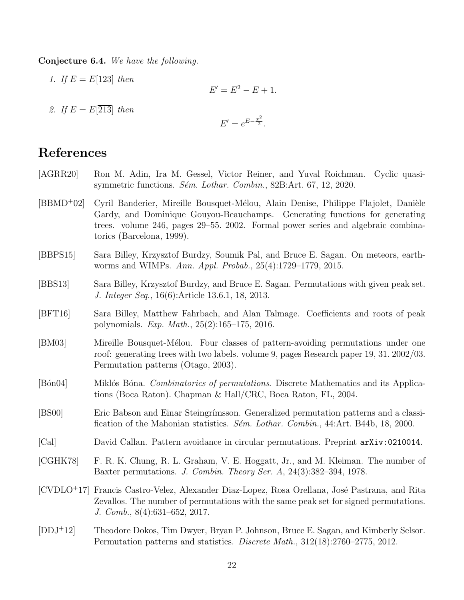Conjecture 6.4. We have the following.

1. If  $E = E[123]$  then  $E' = E^2 - E + 1.$ 2. If  $E = E[213]$  then  $E' = e^{E - \frac{x^2}{2}}.$ 

## References

- <span id="page-21-10"></span>[AGRR20] Ron M. Adin, Ira M. Gessel, Victor Reiner, and Yuval Roichman. Cyclic quasisymmetric functions. Sém. Lothar. Combin., 82B:Art. 67, 12, 2020.
- <span id="page-21-4"></span>[BBMD<sup>+</sup>02] Cyril Banderier, Mireille Bousquet-Mélou, Alain Denise, Philippe Flajolet, Danièle Gardy, and Dominique Gouyou-Beauchamps. Generating functions for generating trees. volume 246, pages 29–55. 2002. Formal power series and algebraic combinatorics (Barcelona, 1999).
- <span id="page-21-6"></span>[BBPS15] Sara Billey, Krzysztof Burdzy, Soumik Pal, and Bruce E. Sagan. On meteors, earthworms and WIMPs. Ann. Appl. Probab., 25(4):1729–1779, 2015.
- <span id="page-21-7"></span>[BBS13] Sara Billey, Krzysztof Burdzy, and Bruce E. Sagan. Permutations with given peak set. J. Integer Seq., 16(6):Article 13.6.1, 18, 2013.
- <span id="page-21-8"></span>[BFT16] Sara Billey, Matthew Fahrbach, and Alan Talmage. Coefficients and roots of peak polynomials. Exp. Math., 25(2):165–175, 2016.
- <span id="page-21-5"></span>[BM03] Mireille Bousquet-Mélou. Four classes of pattern-avoiding permutations under one roof: generating trees with two labels. volume 9, pages Research paper 19, 31. 2002/03. Permutation patterns (Otago, 2003).
- <span id="page-21-0"></span>[Bon04] Miklos Bona. *Combinatorics of permutations*. Discrete Mathematics and its Applications (Boca Raton). Chapman & Hall/CRC, Boca Raton, FL, 2004.
- <span id="page-21-11"></span>[BS00] Eric Babson and Einar Steingr´ımsson. Generalized permutation patterns and a classification of the Mahonian statistics. *S* $\acute{e}m$ . *Lothar. Combin.*, 44:Art. B44b, 18, 2000.
- <span id="page-21-2"></span>[Cal] David Callan. Pattern avoidance in circular permutations. Preprint arXiv:0210014.
- <span id="page-21-3"></span>[CGHK78] F. R. K. Chung, R. L. Graham, V. E. Hoggatt, Jr., and M. Kleiman. The number of Baxter permutations. J. Combin. Theory Ser. A, 24(3):382–394, 1978.
- <span id="page-21-9"></span>[CVDLO<sup>+</sup>17] Francis Castro-Velez, Alexander Diaz-Lopez, Rosa Orellana, José Pastrana, and Rita Zevallos. The number of permutations with the same peak set for signed permutations. J. Comb., 8(4):631–652, 2017.
- <span id="page-21-1"></span>[DDJ<sup>+</sup>12] Theodore Dokos, Tim Dwyer, Bryan P. Johnson, Bruce E. Sagan, and Kimberly Selsor. Permutation patterns and statistics. Discrete Math., 312(18):2760–2775, 2012.